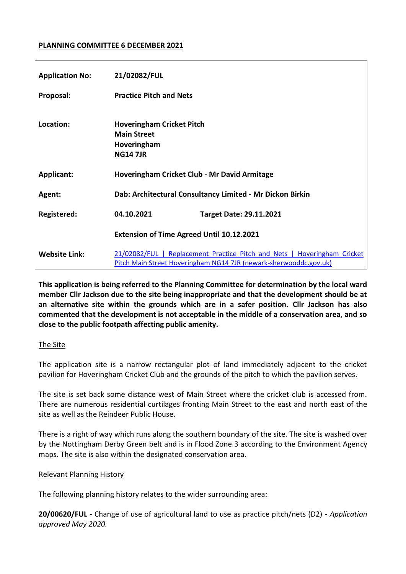### **PLANNING COMMITTEE 6 DECEMBER 2021**

| <b>Application No:</b> | 21/02082/FUL                                                                                                                                  |
|------------------------|-----------------------------------------------------------------------------------------------------------------------------------------------|
| Proposal:              | <b>Practice Pitch and Nets</b>                                                                                                                |
| Location:              | <b>Hoveringham Cricket Pitch</b><br><b>Main Street</b><br>Hoveringham<br><b>NG14 7JR</b>                                                      |
| <b>Applicant:</b>      | Hoveringham Cricket Club - Mr David Armitage                                                                                                  |
| Agent:                 | Dab: Architectural Consultancy Limited - Mr Dickon Birkin                                                                                     |
| Registered:            | 04.10.2021<br><b>Target Date: 29.11.2021</b>                                                                                                  |
|                        | <b>Extension of Time Agreed Until 10.12.2021</b>                                                                                              |
| <b>Website Link:</b>   | 21/02082/FUL   Replacement Practice Pitch and Nets   Hoveringham Cricket<br>Pitch Main Street Hoveringham NG14 7JR (newark-sherwooddc.gov.uk) |

**This application is being referred to the Planning Committee for determination by the local ward member Cllr Jackson due to the site being inappropriate and that the development should be at an alternative site within the grounds which are in a safer position. Cllr Jackson has also commented that the development is not acceptable in the middle of a conservation area, and so close to the public footpath affecting public amenity.** 

### The Site

The application site is a narrow rectangular plot of land immediately adjacent to the cricket pavilion for Hoveringham Cricket Club and the grounds of the pitch to which the pavilion serves.

The site is set back some distance west of Main Street where the cricket club is accessed from. There are numerous residential curtilages fronting Main Street to the east and north east of the site as well as the Reindeer Public House.

There is a right of way which runs along the southern boundary of the site. The site is washed over by the Nottingham Derby Green belt and is in Flood Zone 3 according to the Environment Agency maps. The site is also within the designated conservation area.

### Relevant Planning History

The following planning history relates to the wider surrounding area:

**20/00620/FUL** - Change of use of agricultural land to use as practice pitch/nets (D2) - *Application approved May 2020.*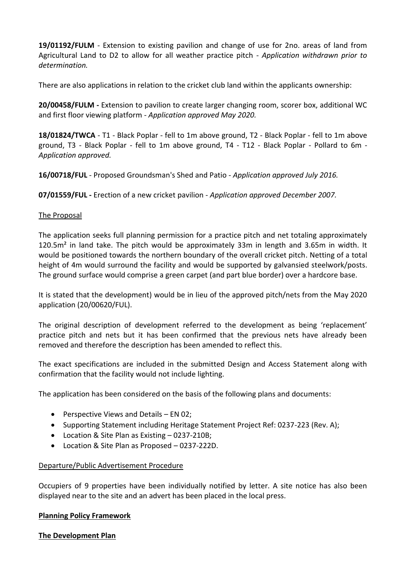**19/01192/FULM** - Extension to existing pavilion and change of use for 2no. areas of land from Agricultural Land to D2 to allow for all weather practice pitch - *Application withdrawn prior to determination.* 

There are also applications in relation to the cricket club land within the applicants ownership:

**20/00458/FULM -** Extension to pavilion to create larger changing room, scorer box, additional WC and first floor viewing platform - *Application approved May 2020.* 

**18/01824/TWCA** - T1 - Black Poplar - fell to 1m above ground, T2 - Black Poplar - fell to 1m above ground, T3 - Black Poplar - fell to 1m above ground, T4 - T12 - Black Poplar - Pollard to 6m - *Application approved.* 

**16/00718/FUL** *-* Proposed Groundsman's Shed and Patio - *Application approved July 2016.* 

**07/01559/FUL -** Erection of a new cricket pavilion - *Application approved December 2007.* 

### The Proposal

The application seeks full planning permission for a practice pitch and net totaling approximately 120.5m<sup>2</sup> in land take. The pitch would be approximately 33m in length and 3.65m in width. It would be positioned towards the northern boundary of the overall cricket pitch. Netting of a total height of 4m would surround the facility and would be supported by galvansied steelwork/posts. The ground surface would comprise a green carpet (and part blue border) over a hardcore base.

It is stated that the development) would be in lieu of the approved pitch/nets from the May 2020 application (20/00620/FUL).

The original description of development referred to the development as being 'replacement' practice pitch and nets but it has been confirmed that the previous nets have already been removed and therefore the description has been amended to reflect this.

The exact specifications are included in the submitted Design and Access Statement along with confirmation that the facility would not include lighting.

The application has been considered on the basis of the following plans and documents:

- **•** Perspective Views and Details  $-$  EN 02;
- Supporting Statement including Heritage Statement Project Ref: 0237-223 (Rev. A);
- Location & Site Plan as Existing 0237-210B;
- Location & Site Plan as Proposed 0237-222D.

### Departure/Public Advertisement Procedure

Occupiers of 9 properties have been individually notified by letter. A site notice has also been displayed near to the site and an advert has been placed in the local press.

### **Planning Policy Framework**

**The Development Plan**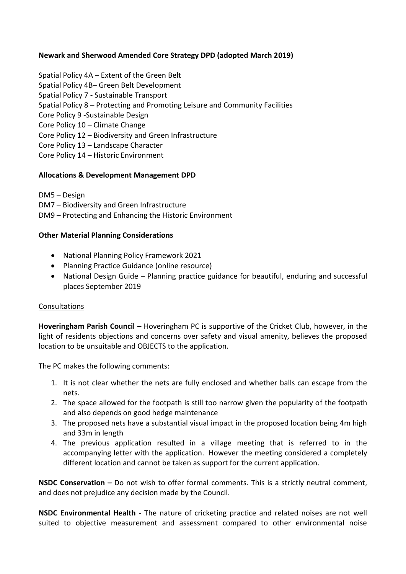# **Newark and Sherwood Amended Core Strategy DPD (adopted March 2019)**

- Spatial Policy 4A Extent of the Green Belt
- Spatial Policy 4B– Green Belt Development
- Spatial Policy 7 Sustainable Transport
- Spatial Policy 8 Protecting and Promoting Leisure and Community Facilities
- Core Policy 9 -Sustainable Design
- Core Policy 10 Climate Change
- Core Policy 12 Biodiversity and Green Infrastructure
- Core Policy 13 Landscape Character
- Core Policy 14 Historic Environment

### **Allocations & Development Management DPD**

DM5 – Design

- DM7 Biodiversity and Green Infrastructure
- DM9 Protecting and Enhancing the Historic Environment

### **Other Material Planning Considerations**

- National Planning Policy Framework 2021
- Planning Practice Guidance (online resource)
- National Design Guide Planning practice guidance for beautiful, enduring and successful places September 2019

### Consultations

**Hoveringham Parish Council –** Hoveringham PC is supportive of the Cricket Club, however, in the light of residents objections and concerns over safety and visual amenity, believes the proposed location to be unsuitable and OBJECTS to the application.

The PC makes the following comments:

- 1. It is not clear whether the nets are fully enclosed and whether balls can escape from the nets.
- 2. The space allowed for the footpath is still too narrow given the popularity of the footpath and also depends on good hedge maintenance
- 3. The proposed nets have a substantial visual impact in the proposed location being 4m high and 33m in length
- 4. The previous application resulted in a village meeting that is referred to in the accompanying letter with the application. However the meeting considered a completely different location and cannot be taken as support for the current application.

**NSDC Conservation –** Do not wish to offer formal comments. This is a strictly neutral comment, and does not prejudice any decision made by the Council.

**NSDC Environmental Health** - The nature of cricketing practice and related noises are not well suited to objective measurement and assessment compared to other environmental noise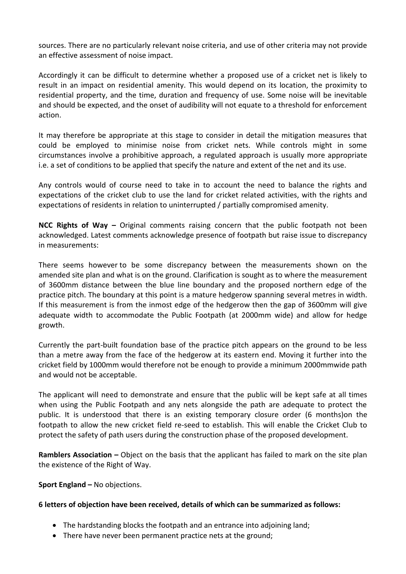sources. There are no particularly relevant noise criteria, and use of other criteria may not provide an effective assessment of noise impact.

Accordingly it can be difficult to determine whether a proposed use of a cricket net is likely to result in an impact on residential amenity. This would depend on its location, the proximity to residential property, and the time, duration and frequency of use. Some noise will be inevitable and should be expected, and the onset of audibility will not equate to a threshold for enforcement action.

It may therefore be appropriate at this stage to consider in detail the mitigation measures that could be employed to minimise noise from cricket nets. While controls might in some circumstances involve a prohibitive approach, a regulated approach is usually more appropriate i.e. a set of conditions to be applied that specify the nature and extent of the net and its use.

Any controls would of course need to take in to account the need to balance the rights and expectations of the cricket club to use the land for cricket related activities, with the rights and expectations of residents in relation to uninterrupted / partially compromised amenity.

**NCC Rights of Way –** Original comments raising concern that the public footpath not been acknowledged. Latest comments acknowledge presence of footpath but raise issue to discrepancy in measurements:

There seems however to be some discrepancy between the measurements shown on the amended site plan and what is on the ground. Clarification is sought as to where the measurement of 3600mm distance between the blue line boundary and the proposed northern edge of the practice pitch. The boundary at this point is a mature hedgerow spanning several metres in width. If this measurement is from the inmost edge of the hedgerow then the gap of 3600mm will give adequate width to accommodate the Public Footpath (at 2000mm wide) and allow for hedge growth.

Currently the part-built foundation base of the practice pitch appears on the ground to be less than a metre away from the face of the hedgerow at its eastern end. Moving it further into the cricket field by 1000mm would therefore not be enough to provide a minimum 2000mmwide path and would not be acceptable.

The applicant will need to demonstrate and ensure that the public will be kept safe at all times when using the Public Footpath and any nets alongside the path are adequate to protect the public. It is understood that there is an existing temporary closure order (6 months)on the footpath to allow the new cricket field re-seed to establish. This will enable the Cricket Club to protect the safety of path users during the construction phase of the proposed development.

**Ramblers Association –** Object on the basis that the applicant has failed to mark on the site plan the existence of the Right of Way.

## **Sport England –** No objections.

## **6 letters of objection have been received, details of which can be summarized as follows:**

- The hardstanding blocks the footpath and an entrance into adjoining land;
- There have never been permanent practice nets at the ground;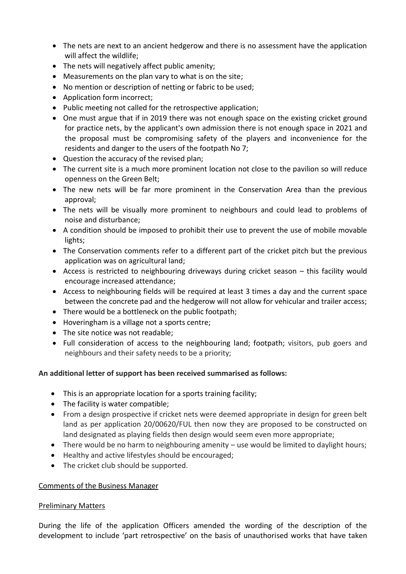- The nets are next to an ancient hedgerow and there is no assessment have the application will affect the wildlife;
- The nets will negatively affect public amenity;
- Measurements on the plan vary to what is on the site;
- No mention or description of netting or fabric to be used;
- Application form incorrect;
- Public meeting not called for the retrospective application;
- One must argue that if in 2019 there was not enough space on the existing cricket ground for practice nets, by the applicant's own admission there is not enough space in 2021 and the proposal must be compromising safety of the players and inconvenience for the residents and danger to the users of the footpath No 7;
- Question the accuracy of the revised plan;
- The current site is a much more prominent location not close to the pavilion so will reduce openness on the Green Belt;
- The new nets will be far more prominent in the Conservation Area than the previous approval;
- The nets will be visually more prominent to neighbours and could lead to problems of noise and disturbance;
- A condition should be imposed to prohibit their use to prevent the use of mobile movable lights;
- The Conservation comments refer to a different part of the cricket pitch but the previous application was on agricultural land;
- Access is restricted to neighbouring driveways during cricket season this facility would encourage increased attendance;
- Access to neighbouring fields will be required at least 3 times a day and the current space between the concrete pad and the hedgerow will not allow for vehicular and trailer access;
- There would be a bottleneck on the public footpath:
- Hoveringham is a village not a sports centre;
- The site notice was not readable:
- Full consideration of access to the neighbouring land; footpath; visitors, pub goers and neighbours and their safety needs to be a priority;

## **An additional letter of support has been received summarised as follows:**

- This is an appropriate location for a sports training facility;
- The facility is water compatible;
- From a design prospective if cricket nets were deemed appropriate in design for green belt land as per application 20/00620/FUL then now they are proposed to be constructed on land designated as playing fields then design would seem even more appropriate;
- There would be no harm to neighbouring amenity use would be limited to daylight hours;
- Healthy and active lifestyles should be encouraged;
- The cricket club should be supported.

### Comments of the Business Manager

## Preliminary Matters

During the life of the application Officers amended the wording of the description of the development to include 'part retrospective' on the basis of unauthorised works that have taken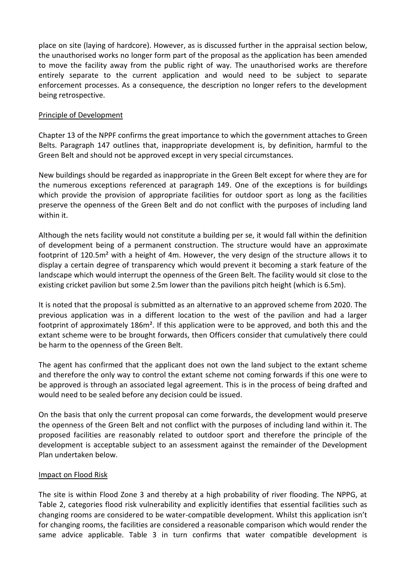place on site (laying of hardcore). However, as is discussed further in the appraisal section below, the unauthorised works no longer form part of the proposal as the application has been amended to move the facility away from the public right of way. The unauthorised works are therefore entirely separate to the current application and would need to be subject to separate enforcement processes. As a consequence, the description no longer refers to the development being retrospective.

### Principle of Development

Chapter 13 of the NPPF confirms the great importance to which the government attaches to Green Belts. Paragraph 147 outlines that, inappropriate development is, by definition, harmful to the Green Belt and should not be approved except in very special circumstances.

New buildings should be regarded as inappropriate in the Green Belt except for where they are for the numerous exceptions referenced at paragraph 149. One of the exceptions is for buildings which provide the provision of appropriate facilities for outdoor sport as long as the facilities preserve the openness of the Green Belt and do not conflict with the purposes of including land within it.

Although the nets facility would not constitute a building per se, it would fall within the definition of development being of a permanent construction. The structure would have an approximate footprint of 120.5m² with a height of 4m. However, the very design of the structure allows it to display a certain degree of transparency which would prevent it becoming a stark feature of the landscape which would interrupt the openness of the Green Belt. The facility would sit close to the existing cricket pavilion but some 2.5m lower than the pavilions pitch height (which is 6.5m).

It is noted that the proposal is submitted as an alternative to an approved scheme from 2020. The previous application was in a different location to the west of the pavilion and had a larger footprint of approximately 186m². If this application were to be approved, and both this and the extant scheme were to be brought forwards, then Officers consider that cumulatively there could be harm to the openness of the Green Belt.

The agent has confirmed that the applicant does not own the land subject to the extant scheme and therefore the only way to control the extant scheme not coming forwards if this one were to be approved is through an associated legal agreement. This is in the process of being drafted and would need to be sealed before any decision could be issued.

On the basis that only the current proposal can come forwards, the development would preserve the openness of the Green Belt and not conflict with the purposes of including land within it. The proposed facilities are reasonably related to outdoor sport and therefore the principle of the development is acceptable subject to an assessment against the remainder of the Development Plan undertaken below.

### Impact on Flood Risk

The site is within Flood Zone 3 and thereby at a high probability of river flooding. The NPPG, at Table 2, categories flood risk vulnerability and explicitly identifies that essential facilities such as changing rooms are considered to be water-compatible development. Whilst this application isn't for changing rooms, the facilities are considered a reasonable comparison which would render the same advice applicable. Table 3 in turn confirms that water compatible development is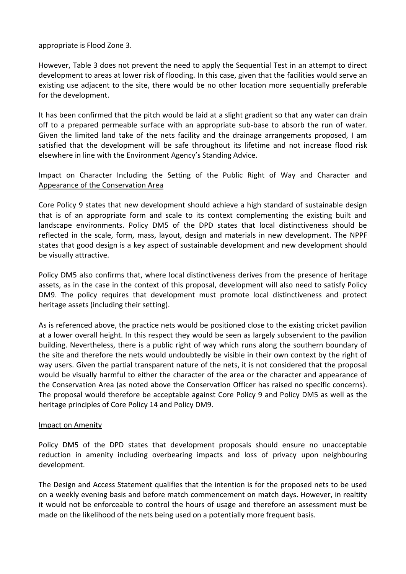appropriate is Flood Zone 3.

However, Table 3 does not prevent the need to apply the Sequential Test in an attempt to direct development to areas at lower risk of flooding. In this case, given that the facilities would serve an existing use adjacent to the site, there would be no other location more sequentially preferable for the development.

It has been confirmed that the pitch would be laid at a slight gradient so that any water can drain off to a prepared permeable surface with an appropriate sub-base to absorb the run of water. Given the limited land take of the nets facility and the drainage arrangements proposed, I am satisfied that the development will be safe throughout its lifetime and not increase flood risk elsewhere in line with the Environment Agency's Standing Advice.

### Impact on Character Including the Setting of the Public Right of Way and Character and Appearance of the Conservation Area

Core Policy 9 states that new development should achieve a high standard of sustainable design that is of an appropriate form and scale to its context complementing the existing built and landscape environments. Policy DM5 of the DPD states that local distinctiveness should be reflected in the scale, form, mass, layout, design and materials in new development. The NPPF states that good design is a key aspect of sustainable development and new development should be visually attractive.

Policy DM5 also confirms that, where local distinctiveness derives from the presence of heritage assets, as in the case in the context of this proposal, development will also need to satisfy Policy DM9. The policy requires that development must promote local distinctiveness and protect heritage assets (including their setting).

As is referenced above, the practice nets would be positioned close to the existing cricket pavilion at a lower overall height. In this respect they would be seen as largely subservient to the pavilion building. Nevertheless, there is a public right of way which runs along the southern boundary of the site and therefore the nets would undoubtedly be visible in their own context by the right of way users. Given the partial transparent nature of the nets, it is not considered that the proposal would be visually harmful to either the character of the area or the character and appearance of the Conservation Area (as noted above the Conservation Officer has raised no specific concerns). The proposal would therefore be acceptable against Core Policy 9 and Policy DM5 as well as the heritage principles of Core Policy 14 and Policy DM9.

### Impact on Amenity

Policy DM5 of the DPD states that development proposals should ensure no unacceptable reduction in amenity including overbearing impacts and loss of privacy upon neighbouring development.

The Design and Access Statement qualifies that the intention is for the proposed nets to be used on a weekly evening basis and before match commencement on match days. However, in realtity it would not be enforceable to control the hours of usage and therefore an assessment must be made on the likelihood of the nets being used on a potentially more frequent basis.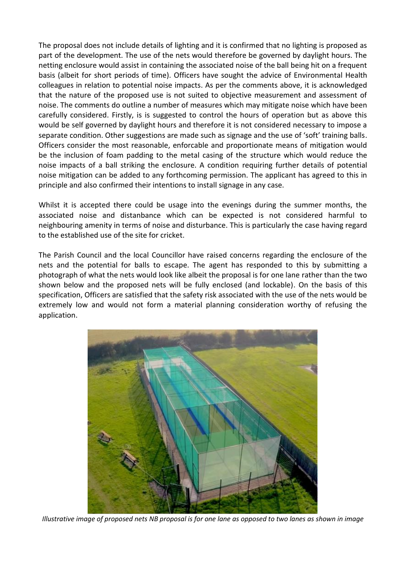The proposal does not include details of lighting and it is confirmed that no lighting is proposed as part of the development. The use of the nets would therefore be governed by daylight hours. The netting enclosure would assist in containing the associated noise of the ball being hit on a frequent basis (albeit for short periods of time). Officers have sought the advice of Environmental Health colleagues in relation to potential noise impacts. As per the comments above, it is acknowledged that the nature of the proposed use is not suited to objective measurement and assessment of noise. The comments do outline a number of measures which may mitigate noise which have been carefully considered. Firstly, is is suggested to control the hours of operation but as above this would be self governed by daylight hours and therefore it is not considered necessary to impose a separate condition. Other suggestions are made such as signage and the use of 'soft' training balls. Officers consider the most reasonable, enforcable and proportionate means of mitigation would be the inclusion of foam padding to the metal casing of the structure which would reduce the noise impacts of a ball striking the enclosure. A condition requiring further details of potential noise mitigation can be added to any forthcoming permission. The applicant has agreed to this in principle and also confirmed their intentions to install signage in any case.

Whilst it is accepted there could be usage into the evenings during the summer months, the associated noise and distanbance which can be expected is not considered harmful to neighbouring amenity in terms of noise and disturbance. This is particularly the case having regard to the established use of the site for cricket.

The Parish Council and the local Councillor have raised concerns regarding the enclosure of the nets and the potential for balls to escape. The agent has responded to this by submitting a photograph of what the nets would look like albeit the proposal is for one lane rather than the two shown below and the proposed nets will be fully enclosed (and lockable). On the basis of this specification, Officers are satisfied that the safety risk associated with the use of the nets would be extremely low and would not form a material planning consideration worthy of refusing the application.



*Illustrative image of proposed nets NB proposal is for one lane as opposed to two lanes as shown in image*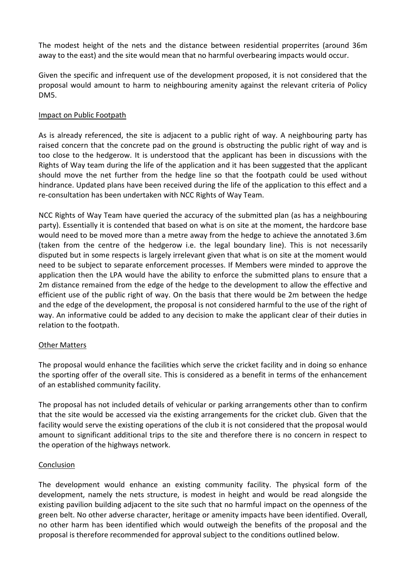The modest height of the nets and the distance between residential properrites (around 36m away to the east) and the site would mean that no harmful overbearing impacts would occur.

Given the specific and infrequent use of the development proposed, it is not considered that the proposal would amount to harm to neighbouring amenity against the relevant criteria of Policy DM5.

### Impact on Public Footpath

As is already referenced, the site is adjacent to a public right of way. A neighbouring party has raised concern that the concrete pad on the ground is obstructing the public right of way and is too close to the hedgerow. It is understood that the applicant has been in discussions with the Rights of Way team during the life of the application and it has been suggested that the applicant should move the net further from the hedge line so that the footpath could be used without hindrance. Updated plans have been received during the life of the application to this effect and a re-consultation has been undertaken with NCC Rights of Way Team.

NCC Rights of Way Team have queried the accuracy of the submitted plan (as has a neighbouring party). Essentially it is contended that based on what is on site at the moment, the hardcore base would need to be moved more than a metre away from the hedge to achieve the annotated 3.6m (taken from the centre of the hedgerow i.e. the legal boundary line). This is not necessarily disputed but in some respects is largely irrelevant given that what is on site at the moment would need to be subject to separate enforcement processes. If Members were minded to approve the application then the LPA would have the ability to enforce the submitted plans to ensure that a 2m distance remained from the edge of the hedge to the development to allow the effective and efficient use of the public right of way. On the basis that there would be 2m between the hedge and the edge of the development, the proposal is not considered harmful to the use of the right of way. An informative could be added to any decision to make the applicant clear of their duties in relation to the footpath.

### Other Matters

The proposal would enhance the facilities which serve the cricket facility and in doing so enhance the sporting offer of the overall site. This is considered as a benefit in terms of the enhancement of an established community facility.

The proposal has not included details of vehicular or parking arrangements other than to confirm that the site would be accessed via the existing arrangements for the cricket club. Given that the facility would serve the existing operations of the club it is not considered that the proposal would amount to significant additional trips to the site and therefore there is no concern in respect to the operation of the highways network.

### **Conclusion**

The development would enhance an existing community facility. The physical form of the development, namely the nets structure, is modest in height and would be read alongside the existing pavilion building adjacent to the site such that no harmful impact on the openness of the green belt. No other adverse character, heritage or amenity impacts have been identified. Overall, no other harm has been identified which would outweigh the benefits of the proposal and the proposal is therefore recommended for approval subject to the conditions outlined below.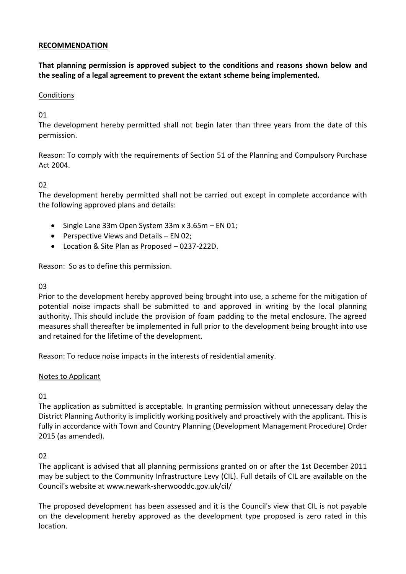### **RECOMMENDATION**

**That planning permission is approved subject to the conditions and reasons shown below and the sealing of a legal agreement to prevent the extant scheme being implemented.**

### Conditions

## 01

The development hereby permitted shall not begin later than three years from the date of this permission.

Reason: To comply with the requirements of Section 51 of the Planning and Compulsory Purchase Act 2004.

## $02$

The development hereby permitted shall not be carried out except in complete accordance with the following approved plans and details:

- $\bullet$  Single Lane 33m Open System 33m x 3.65m EN 01;
- Perspective Views and Details EN 02;
- Location & Site Plan as Proposed 0237-222D.

Reason: So as to define this permission.

### 03

Prior to the development hereby approved being brought into use, a scheme for the mitigation of potential noise impacts shall be submitted to and approved in writing by the local planning authority. This should include the provision of foam padding to the metal enclosure. The agreed measures shall thereafter be implemented in full prior to the development being brought into use and retained for the lifetime of the development.

Reason: To reduce noise impacts in the interests of residential amenity.

## Notes to Applicant

## 01

The application as submitted is acceptable. In granting permission without unnecessary delay the District Planning Authority is implicitly working positively and proactively with the applicant. This is fully in accordance with Town and Country Planning (Development Management Procedure) Order 2015 (as amended).

## 02

The applicant is advised that all planning permissions granted on or after the 1st December 2011 may be subject to the Community Infrastructure Levy (CIL). Full details of CIL are available on the Council's website at www.newark-sherwooddc.gov.uk/cil/

The proposed development has been assessed and it is the Council's view that CIL is not payable on the development hereby approved as the development type proposed is zero rated in this location.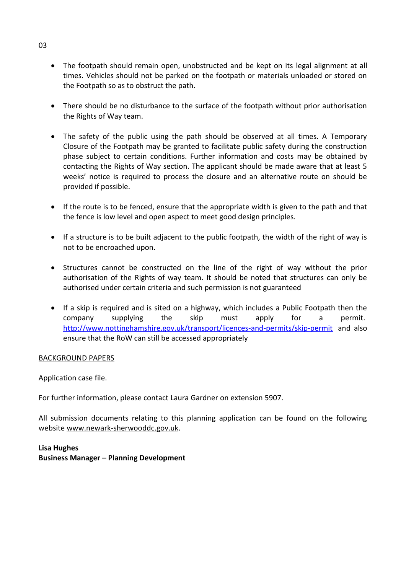- The footpath should remain open, unobstructed and be kept on its legal alignment at all times. Vehicles should not be parked on the footpath or materials unloaded or stored on the Footpath so as to obstruct the path.
- There should be no disturbance to the surface of the footpath without prior authorisation the Rights of Way team.
- The safety of the public using the path should be observed at all times. A Temporary Closure of the Footpath may be granted to facilitate public safety during the construction phase subject to certain conditions. Further information and costs may be obtained by contacting the Rights of Way section. The applicant should be made aware that at least 5 weeks' notice is required to process the closure and an alternative route on should be provided if possible.
- If the route is to be fenced, ensure that the appropriate width is given to the path and that the fence is low level and open aspect to meet good design principles.
- If a structure is to be built adjacent to the public footpath, the width of the right of way is not to be encroached upon.
- Structures cannot be constructed on the line of the right of way without the prior authorisation of the Rights of way team. It should be noted that structures can only be authorised under certain criteria and such permission is not guaranteed
- If a skip is required and is sited on a highway, which includes a Public Footpath then the company supplying the skip must apply for a permit. <http://www.nottinghamshire.gov.uk/transport/licences-and-permits/skip-permit> and also ensure that the RoW can still be accessed appropriately

### BACKGROUND PAPERS

Application case file.

For further information, please contact Laura Gardner on extension 5907.

All submission documents relating to this planning application can be found on the following websit[e www.newark-sherwooddc.gov.uk.](http://www.newark-sherwooddc.gov.uk/)

# **Lisa Hughes Business Manager – Planning Development**

03